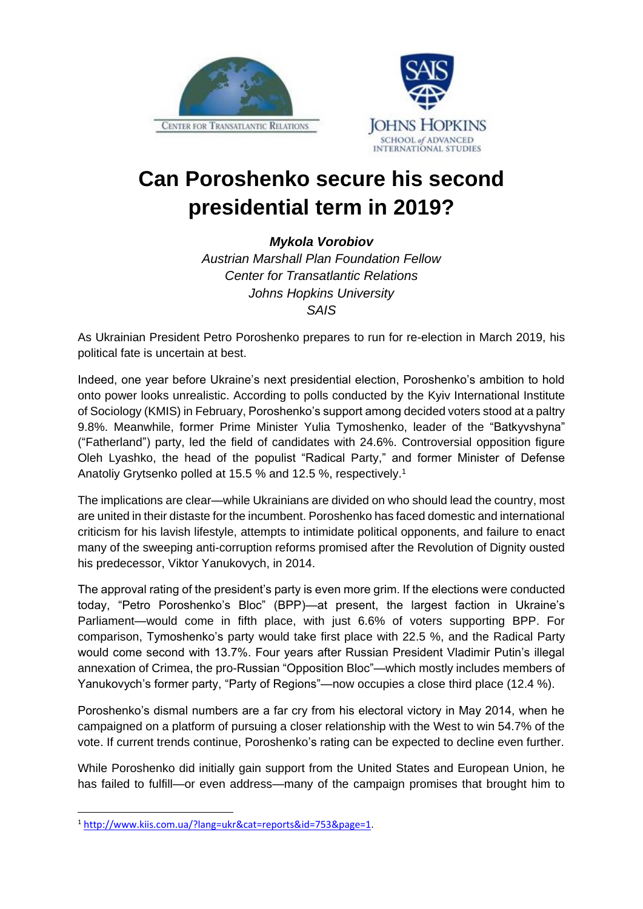



## **Can Poroshenko secure his second presidential term in 2019?**

*Mykola Vorobiov*

*Austrian Marshall Plan Foundation Fellow Center for Transatlantic Relations Johns Hopkins University SAIS*

As Ukrainian President Petro Poroshenko prepares to run for re-election in March 2019, his political fate is uncertain at best.

Indeed, one year before Ukraine's next presidential election, Poroshenko's ambition to hold onto power looks unrealistic. According to polls conducted by the Kyiv International Institute of Sociology (KMIS) in February, Poroshenko's support among decided voters stood at a paltry 9.8%. Meanwhile, former Prime Minister Yulia Tymoshenko, leader of the "Batkyvshyna" ("Fatherland") party, led the field of candidates with 24.6%. Controversial opposition figure Oleh Lyashko, the head of the populist "Radical Party," and former Minister of Defense Anatoliy Grytsenko polled at 15.5 % and 12.5 %, respectively. 1

The implications are clear—while Ukrainians are divided on who should lead the country, most are united in their distaste for the incumbent. Poroshenko has faced domestic and international criticism for his lavish lifestyle, attempts to intimidate political opponents, and failure to enact many of the sweeping anti-corruption reforms promised after the Revolution of Dignity ousted his predecessor, Viktor Yanukovych, in 2014.

The approval rating of the president's party is even more grim. If the elections were conducted today, "Petro Poroshenko's Bloc" (BPP)—at present, the largest faction in Ukraine's Parliament—would come in fifth place, with just 6.6% of voters supporting BPP. For comparison, Tymoshenko's party would take first place with 22.5 %, and the Radical Party would come second with 13.7%. Four years after Russian President Vladimir Putin's illegal annexation of Crimea, the pro-Russian "Opposition Bloc"—which mostly includes members of Yanukovych's former party, "Party of Regions"—now occupies a close third place (12.4 %).

Poroshenko's dismal numbers are a far cry from his electoral victory in May 2014, when he campaigned on a platform of pursuing a closer relationship with the West to win 54.7% of the vote. If current trends continue, Poroshenko's rating can be expected to decline even further.

While Poroshenko did initially gain support from the United States and European Union, he has failed to fulfill—or even address—many of the campaign promises that brought him to

**.** 

<sup>1</sup> [http://www.kiis.com.ua/?lang=ukr&cat=reports&id=753&page=1.](http://www.kiis.com.ua/?lang=ukr&cat=reports&id=753&page=1)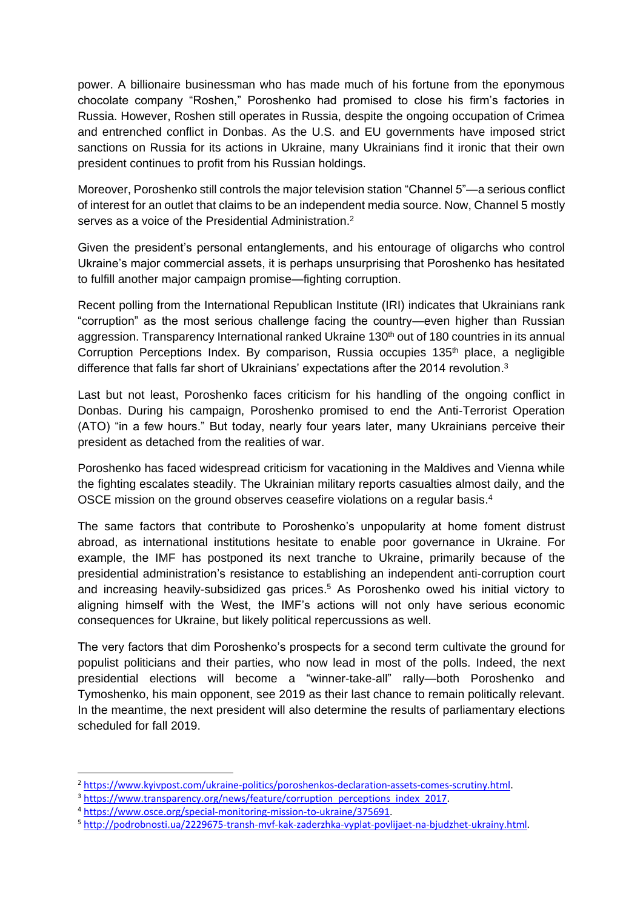power. A billionaire businessman who has made much of his fortune from the eponymous chocolate company "Roshen," Poroshenko had promised to close his firm's factories in Russia. However, Roshen still operates in Russia, despite the ongoing occupation of Crimea and entrenched conflict in Donbas. As the U.S. and EU governments have imposed strict sanctions on Russia for its actions in Ukraine, many Ukrainians find it ironic that their own president continues to profit from his Russian holdings.

Moreover, Poroshenko still controls the major television station "Channel 5"—a serious conflict of interest for an outlet that claims to be an independent media source. Now, Channel 5 mostly serves as a voice of the Presidential Administration.<sup>2</sup>

Given the president's personal entanglements, and his entourage of oligarchs who control Ukraine's major commercial assets, it is perhaps unsurprising that Poroshenko has hesitated to fulfill another major campaign promise—fighting corruption.

Recent polling from the International Republican Institute (IRI) indicates that Ukrainians rank "corruption" as the most serious challenge facing the country—even higher than Russian aggression. Transparency International ranked Ukraine 130<sup>th</sup> out of 180 countries in its annual Corruption Perceptions Index. By comparison, Russia occupies 135<sup>th</sup> place, a negligible difference that falls far short of Ukrainians' expectations after the 2014 revolution. 3

Last but not least, Poroshenko faces criticism for his handling of the ongoing conflict in Donbas. During his campaign, Poroshenko promised to end the Anti-Terrorist Operation (ATO) "in a few hours." But today, nearly four years later, many Ukrainians perceive their president as detached from the realities of war.

Poroshenko has faced widespread criticism for vacationing in the Maldives and Vienna while the fighting escalates steadily. The Ukrainian military reports casualties almost daily, and the OSCE mission on the ground observes ceasefire violations on a regular basis. 4

The same factors that contribute to Poroshenko's unpopularity at home foment distrust abroad, as international institutions hesitate to enable poor governance in Ukraine. For example, the IMF has postponed its next tranche to Ukraine, primarily because of the presidential administration's resistance to establishing an independent anti-corruption court and increasing heavily-subsidized gas prices. <sup>5</sup> As Poroshenko owed his initial victory to aligning himself with the West, the IMF's actions will not only have serious economic consequences for Ukraine, but likely political repercussions as well.

The very factors that dim Poroshenko's prospects for a second term cultivate the ground for populist politicians and their parties, who now lead in most of the polls. Indeed, the next presidential elections will become a "winner-take-all" rally—both Poroshenko and Tymoshenko, his main opponent, see 2019 as their last chance to remain politically relevant. In the meantime, the next president will also determine the results of parliamentary elections scheduled for fall 2019.

1

<sup>&</sup>lt;sup>2</sup> [https://www.kyivpost.com/ukraine-politics/poroshenkos-declaration-assets-comes-scrutiny.html.](https://www.kyivpost.com/ukraine-politics/poroshenkos-declaration-assets-comes-scrutiny.html)

<sup>&</sup>lt;sup>3</sup> [https://www.transparency.org/news/feature/corruption\\_perceptions\\_index\\_2017.](https://www.transparency.org/news/feature/corruption_perceptions_index_2017)

<sup>4</sup> [https://www.osce.org/special-monitoring-mission-to-ukraine/375691.](https://www.osce.org/special-monitoring-mission-to-ukraine/375691)

<sup>5</sup> [http://podrobnosti.ua/2229675-transh-mvf-kak-zaderzhka-vyplat-povlijaet-na-bjudzhet-ukrainy.html.](http://podrobnosti.ua/2229675-transh-mvf-kak-zaderzhka-vyplat-povlijaet-na-bjudzhet-ukrainy.html)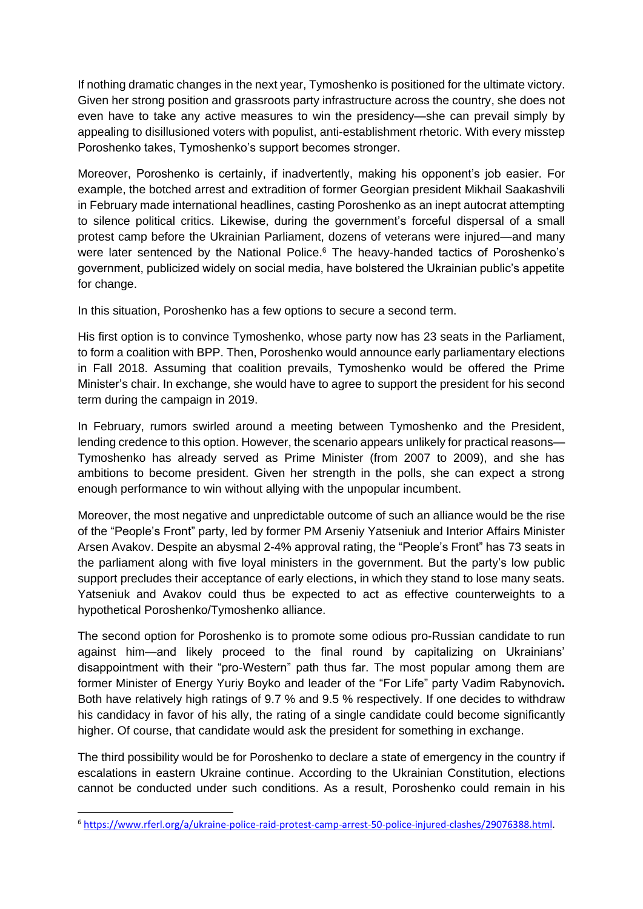If nothing dramatic changes in the next year, Tymoshenko is positioned for the ultimate victory. Given her strong position and grassroots party infrastructure across the country, she does not even have to take any active measures to win the presidency—she can prevail simply by appealing to disillusioned voters with populist, anti-establishment rhetoric. With every misstep Poroshenko takes, Tymoshenko's support becomes stronger.

Moreover, Poroshenko is certainly, if inadvertently, making his opponent's job easier. For example, the botched arrest and extradition of former Georgian president Mikhail Saakashvili in February made international headlines, casting Poroshenko as an inept autocrat attempting to silence political critics. Likewise, during the government's forceful dispersal of a small protest camp before the Ukrainian Parliament, dozens of veterans were injured—and many were later sentenced by the National Police.<sup>6</sup> The heavy-handed tactics of Poroshenko's government, publicized widely on social media, have bolstered the Ukrainian public's appetite for change.

In this situation, Poroshenko has a few options to secure a second term.

His first option is to convince Tymoshenko, whose party now has 23 seats in the Parliament, to form a coalition with BPP. Then, Poroshenko would announce early parliamentary elections in Fall 2018. Assuming that coalition prevails, Tymoshenko would be offered the Prime Minister's chair. In exchange, she would have to agree to support the president for his second term during the campaign in 2019.

In February, rumors swirled around a meeting between Tymoshenko and the President, lending credence to this option. However, the scenario appears unlikely for practical reasons— Tymoshenko has already served as Prime Minister (from 2007 to 2009), and she has ambitions to become president. Given her strength in the polls, she can expect a strong enough performance to win without allying with the unpopular incumbent.

Moreover, the most negative and unpredictable outcome of such an alliance would be the rise of the "People's Front" party, led by former PM Arseniy Yatseniuk and Interior Affairs Minister Arsen Avakov. Despite an abysmal 2-4% approval rating, the "People's Front" has 73 seats in the parliament along with five loyal ministers in the government. But the party's low public support precludes their acceptance of early elections, in which they stand to lose many seats. Yatseniuk and Avakov could thus be expected to act as effective counterweights to a hypothetical Poroshenko/Tymoshenko alliance.

The second option for Poroshenko is to promote some odious pro-Russian candidate to run against him—and likely proceed to the final round by capitalizing on Ukrainians' disappointment with their "pro-Western" path thus far. The most popular among them are former Minister of Energy Yuriy Boyko and leader of the "For Life" party Vadim Rabynovich**.** Both have relatively high ratings of 9.7 % and 9.5 % respectively. If one decides to withdraw his candidacy in favor of his ally, the rating of a single candidate could become significantly higher. Of course, that candidate would ask the president for something in exchange.

The third possibility would be for Poroshenko to declare a state of emergency in the country if escalations in eastern Ukraine continue. According to the Ukrainian Constitution, elections cannot be conducted under such conditions. As a result, Poroshenko could remain in his

**.** 

<sup>6</sup> [https://www.rferl.org/a/ukraine-police-raid-protest-camp-arrest-50-police-injured-clashes/29076388.html.](https://www.rferl.org/a/ukraine-police-raid-protest-camp-arrest-50-police-injured-clashes/29076388.html)